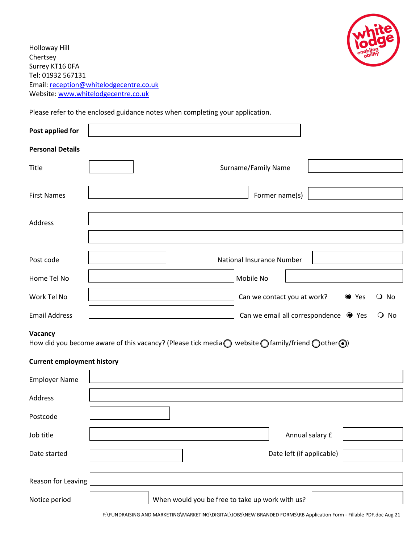

Holloway Hill Chertsey Surrey KT16 0FA Tel: 01932 567131 Email[: reception@whitelodgecentre.co.uk](mailto:reception@whitelodgecentre.co.uk) Website: [www.whitelodgecentre.co.uk](http://www.whitelodgecentre.co.uk/)

Please refer to the enclosed guidance notes when completing your application.

| Post applied for                  |                                                                                                                                        |       |                   |
|-----------------------------------|----------------------------------------------------------------------------------------------------------------------------------------|-------|-------------------|
| <b>Personal Details</b>           |                                                                                                                                        |       |                   |
| Title                             | Surname/Family Name                                                                                                                    |       |                   |
| <b>First Names</b>                | Former name(s)                                                                                                                         |       |                   |
| <b>Address</b>                    |                                                                                                                                        |       |                   |
|                                   |                                                                                                                                        |       |                   |
| Post code                         | National Insurance Number                                                                                                              |       |                   |
| Home Tel No                       | Mobile No                                                                                                                              |       |                   |
| Work Tel No                       | Can we contact you at work?                                                                                                            | ● Yes | $\overline{O}$ No |
| <b>Email Address</b>              | Can we email all correspondence • Yes                                                                                                  |       | $\overline{O}$ No |
| Vacancy                           | How did you become aware of this vacancy? (Please tick media $\bigcirc$ website $\bigcirc$ family/friend $\bigcirc$ other $\bigcirc$ ) |       |                   |
| <b>Current employment history</b> |                                                                                                                                        |       |                   |
| <b>Employer Name</b>              |                                                                                                                                        |       |                   |
| Address                           |                                                                                                                                        |       |                   |
| Postcode                          |                                                                                                                                        |       |                   |
| Job title                         | Annual salary £                                                                                                                        |       |                   |
| Date started                      | Date left (if applicable)                                                                                                              |       |                   |
| Reason for Leaving                |                                                                                                                                        |       |                   |
| Notice period                     | When would you be free to take up work with us?                                                                                        |       |                   |

F:\FUNDRAISING AND MARKETING\MARKETING\DIGITAL\JOBS\NEW BRANDED FORMS\RB Application Form - Fillable PDF.doc Aug 21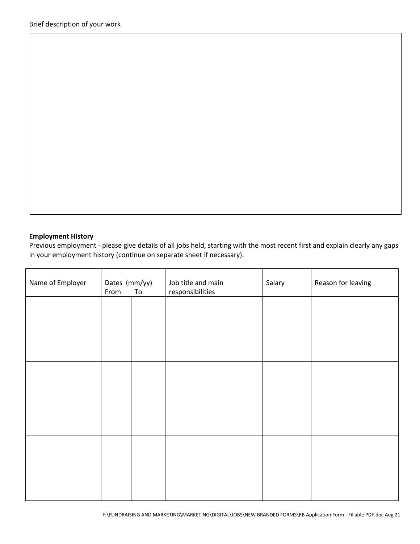# **Employment History**

Previous employment - please give details of all jobs held, starting with the most recent first and explain clearly any gaps in your employment history (continue on separate sheet if necessary).

| Name of Employer | Dates (mm/yy)<br>From | ${\tt To}$ | Job title and main<br>responsibilities | Salary | Reason for leaving |
|------------------|-----------------------|------------|----------------------------------------|--------|--------------------|
|                  |                       |            |                                        |        |                    |
|                  |                       |            |                                        |        |                    |
|                  |                       |            |                                        |        |                    |
|                  |                       |            |                                        |        |                    |
|                  |                       |            |                                        |        |                    |
|                  |                       |            |                                        |        |                    |
|                  |                       |            |                                        |        |                    |
|                  |                       |            |                                        |        |                    |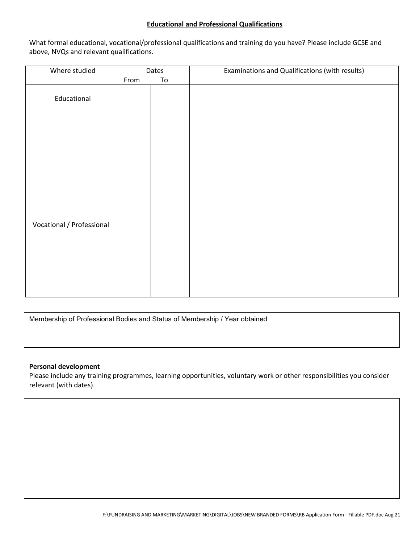### **Educational and Professional Qualifications**

What formal educational, vocational/professional qualifications and training do you have? Please include GCSE and above, NVQs and relevant qualifications.

| Where studied             | Dates |    | Examinations and Qualifications (with results) |
|---------------------------|-------|----|------------------------------------------------|
|                           | From  | To |                                                |
| Educational               |       |    |                                                |
|                           |       |    |                                                |
|                           |       |    |                                                |
| Vocational / Professional |       |    |                                                |
|                           |       |    |                                                |

Membership of Professional Bodies and Status of Membership / Year obtained

### **Personal development**

Please include any training programmes, learning opportunities, voluntary work or other responsibilities you consider relevant (with dates).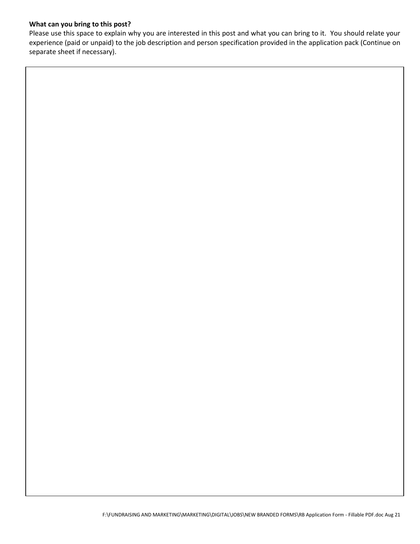## **What can you bring to this post?**

Please use this space to explain why you are interested in this post and what you can bring to it. You should relate your experience (paid or unpaid) to the job description and person specification provided in the application pack (Continue on separate sheet if necessary).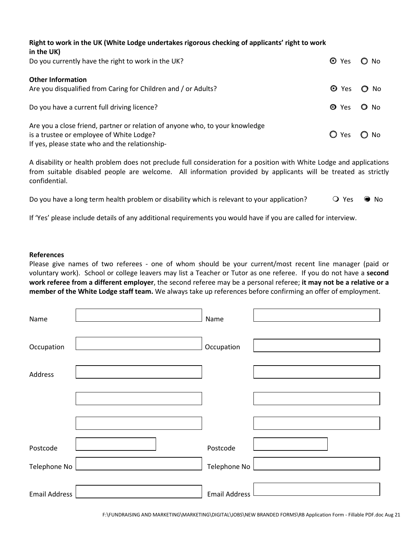| Right to work in the UK (White Lodge undertakes rigorous checking of applicants' right to work<br>in the UK)                                                               |                |            |
|----------------------------------------------------------------------------------------------------------------------------------------------------------------------------|----------------|------------|
| Do you currently have the right to work in the UK?                                                                                                                         | ⊙ Yes ○ No     |            |
| <b>Other Information</b><br>Are you disqualified from Caring for Children and / or Adults?                                                                                 |                | O Yes O No |
| Do you have a current full driving licence?                                                                                                                                | O Yes O No     |            |
| Are you a close friend, partner or relation of anyone who, to your knowledge<br>is a trustee or employee of White Lodge?<br>If yes, please state who and the relationship- | $O$ Yes $O$ No |            |

A disability or health problem does not preclude full consideration for a position with White Lodge and applications from suitable disabled people are welcome. All information provided by applicants will be treated as strictly confidential.

| Do you have a long term health problem or disability which is relevant to your application? | ○ Yes ● No |  |
|---------------------------------------------------------------------------------------------|------------|--|
|---------------------------------------------------------------------------------------------|------------|--|

If 'Yes' please include details of any additional requirements you would have if you are called for interview.

#### **References**

Please give names of two referees - one of whom should be your current/most recent line manager (paid or voluntary work). School or college leavers may list a Teacher or Tutor as one referee. If you do not have a **second work referee from a different employer**, the second referee may be a personal referee; **it may not be a relative or a member of the White Lodge staff team.** We always take up references before confirming an offer of employment.

| Name                 | Name                 |  |
|----------------------|----------------------|--|
| Occupation           | Occupation           |  |
| Address              |                      |  |
|                      |                      |  |
|                      |                      |  |
| Postcode             | Postcode             |  |
| Telephone No         | Telephone No         |  |
| <b>Email Address</b> | <b>Email Address</b> |  |

F:\FUNDRAISING AND MARKETING\MARKETING\DIGITAL\JOBS\NEW BRANDED FORMS\RB Application Form - Fillable PDF.doc Aug 21